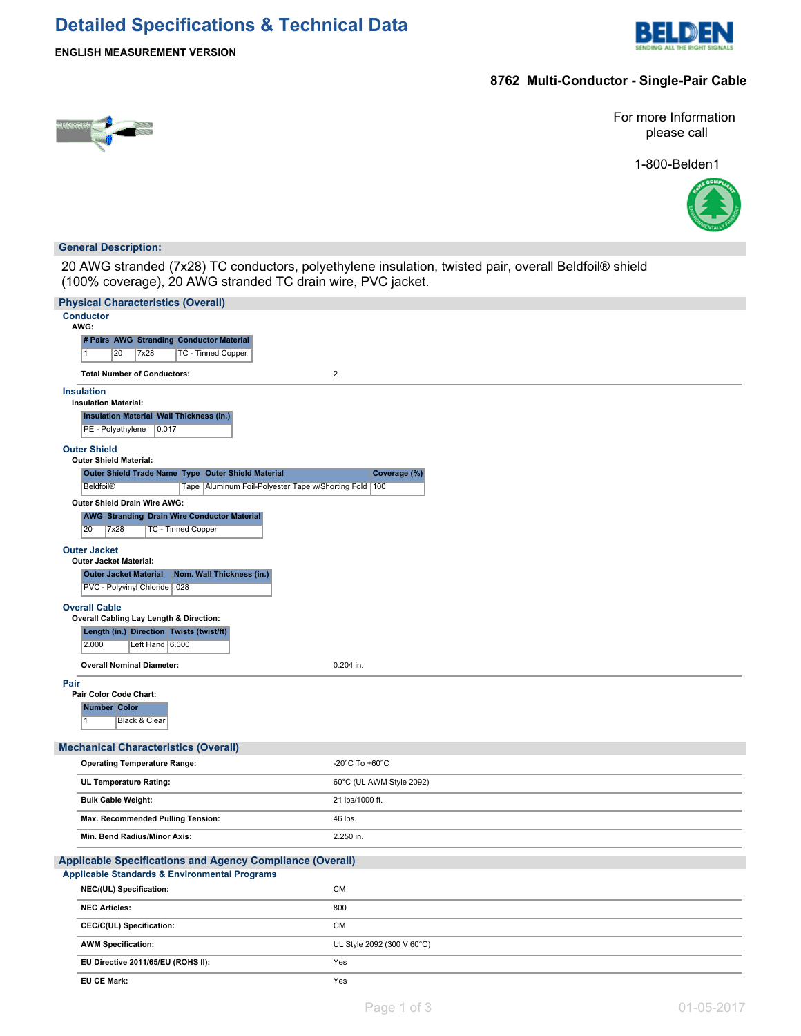# **Detailed Specifications & Technical Data**



**ENGLISH MEASUREMENT VERSION**

### **8762 Multi-Conductor - Single-Pair Cable**



For more Information please call

1-800-Belden1



#### **General Description:**

20 AWG stranded (7x28) TC conductors, polyethylene insulation, twisted pair, overall Beldfoil® shield (100% coverage), 20 AWG stranded TC drain wire, PVC jacket.

| <b>Physical Characteristics (Overall)</b>                                                  |                                      |
|--------------------------------------------------------------------------------------------|--------------------------------------|
| <b>Conductor</b><br>AWG:                                                                   |                                      |
| # Pairs AWG Stranding Conductor Material                                                   |                                      |
| 7x28<br><b>TC - Tinned Copper</b><br>20<br>$\vert$ 1                                       |                                      |
| <b>Total Number of Conductors:</b>                                                         | $\overline{2}$                       |
| <b>Insulation</b>                                                                          |                                      |
| <b>Insulation Material:</b><br>Insulation Material Wall Thickness (in.)                    |                                      |
| 0.017<br>PE - Polyethylene                                                                 |                                      |
| <b>Outer Shield</b><br><b>Outer Shield Material:</b>                                       |                                      |
| Outer Shield Trade Name Type Outer Shield Material                                         | Coverage (%)                         |
| <b>Beldfoil®</b><br>Tape   Aluminum Foil-Polyester Tape w/Shorting Fold   100              |                                      |
| Outer Shield Drain Wire AWG:                                                               |                                      |
| <b>AWG Stranding Drain Wire Conductor Material</b><br>20<br>7x28<br>TC - Tinned Copper     |                                      |
| <b>Outer Jacket</b>                                                                        |                                      |
| <b>Outer Jacket Material:</b><br><b>Outer Jacket Material</b><br>Nom. Wall Thickness (in.) |                                      |
| PVC - Polyvinyl Chloride .028                                                              |                                      |
| <b>Overall Cable</b>                                                                       |                                      |
| Overall Cabling Lay Length & Direction:                                                    |                                      |
| Length (in.) Direction Twists (twist/ft)<br>2.000<br>Left Hand 6.000                       |                                      |
|                                                                                            |                                      |
| <b>Overall Nominal Diameter:</b>                                                           | 0.204 in.                            |
| Pair<br>Pair Color Code Chart:                                                             |                                      |
| <b>Number Color</b>                                                                        |                                      |
| Black & Clear<br>$\mathbf{1}$                                                              |                                      |
| <b>Mechanical Characteristics (Overall)</b>                                                |                                      |
| <b>Operating Temperature Range:</b>                                                        | -20 $^{\circ}$ C To +60 $^{\circ}$ C |
| UL Temperature Rating:                                                                     | 60°C (UL AWM Style 2092)             |
| <b>Bulk Cable Weight:</b>                                                                  | 21 lbs/1000 ft.                      |
| Max. Recommended Pulling Tension:                                                          | 46 lbs.                              |
| Min. Bend Radius/Minor Axis:                                                               | 2.250 in.                            |
| <b>Applicable Specifications and Agency Compliance (Overall)</b>                           |                                      |
| <b>Applicable Standards &amp; Environmental Programs</b>                                   |                                      |
| NEC/(UL) Specification:                                                                    | CM                                   |
| <b>NEC Articles:</b>                                                                       | 800                                  |
| CEC/C(UL) Specification:                                                                   | CM                                   |
| <b>AWM Specification:</b>                                                                  | UL Style 2092 (300 V 60°C)           |
| EU Directive 2011/65/EU (ROHS II):                                                         | Yes                                  |
| EU CE Mark:                                                                                | Yes                                  |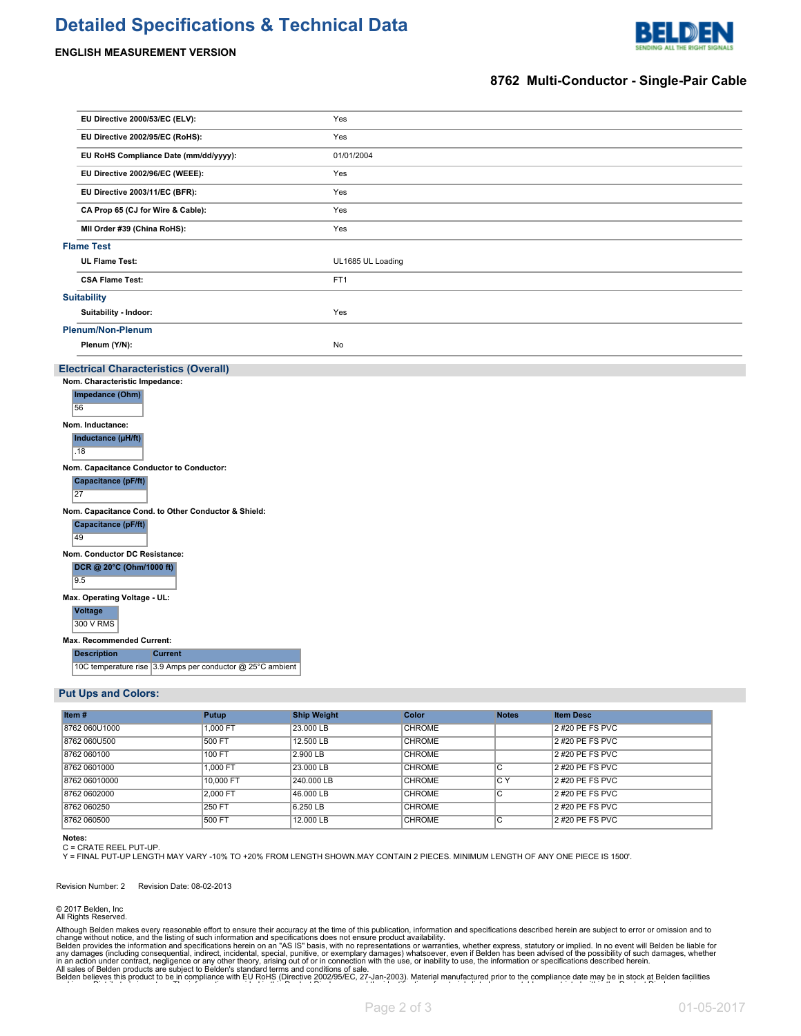### **Detailed Specifications & Technical Data**





#### **8762 Multi-Conductor - Single-Pair Cable**

| EU Directive 2000/53/EC (ELV):                                                                                                                                                                                                                                                                                                                                                                                                                                                                            | Yes               |
|-----------------------------------------------------------------------------------------------------------------------------------------------------------------------------------------------------------------------------------------------------------------------------------------------------------------------------------------------------------------------------------------------------------------------------------------------------------------------------------------------------------|-------------------|
| EU Directive 2002/95/EC (RoHS):                                                                                                                                                                                                                                                                                                                                                                                                                                                                           | Yes               |
| EU RoHS Compliance Date (mm/dd/yyyy):                                                                                                                                                                                                                                                                                                                                                                                                                                                                     | 01/01/2004        |
| EU Directive 2002/96/EC (WEEE):                                                                                                                                                                                                                                                                                                                                                                                                                                                                           | Yes               |
| EU Directive 2003/11/EC (BFR):                                                                                                                                                                                                                                                                                                                                                                                                                                                                            | Yes               |
| CA Prop 65 (CJ for Wire & Cable):                                                                                                                                                                                                                                                                                                                                                                                                                                                                         | Yes               |
| MII Order #39 (China RoHS):                                                                                                                                                                                                                                                                                                                                                                                                                                                                               | Yes               |
| <b>Flame Test</b>                                                                                                                                                                                                                                                                                                                                                                                                                                                                                         |                   |
| <b>UL Flame Test:</b>                                                                                                                                                                                                                                                                                                                                                                                                                                                                                     | UL1685 UL Loading |
| <b>CSA Flame Test:</b>                                                                                                                                                                                                                                                                                                                                                                                                                                                                                    | FT1               |
| <b>Suitability</b>                                                                                                                                                                                                                                                                                                                                                                                                                                                                                        |                   |
| Suitability - Indoor:                                                                                                                                                                                                                                                                                                                                                                                                                                                                                     | Yes               |
| <b>Plenum/Non-Plenum</b>                                                                                                                                                                                                                                                                                                                                                                                                                                                                                  |                   |
| Plenum (Y/N):                                                                                                                                                                                                                                                                                                                                                                                                                                                                                             | No                |
| Impedance (Ohm)<br>56<br>Nom. Inductance:<br>Inductance (µH/ft)<br>.18<br>Nom. Capacitance Conductor to Conductor:<br>Capacitance (pF/ft)<br>27<br>Nom. Capacitance Cond. to Other Conductor & Shield:<br>Capacitance (pF/ft)<br>49<br>Nom. Conductor DC Resistance:<br>DCR @ 20°C (Ohm/1000 ft)<br>9.5<br>Max. Operating Voltage - UL:<br><b>Voltage</b><br>300 V RMS<br>Max. Recommended Current:<br><b>Description</b><br><b>Current</b><br>10C temperature rise 3.9 Amps per conductor @ 25°C ambient |                   |
| <b>Put Ups and Colors:</b>                                                                                                                                                                                                                                                                                                                                                                                                                                                                                |                   |

#### **Item # Putup Ship Weight Color Notes Item Desc** 8762 060U1000 | 1,000 FT 23.000 LB CHROME | 2#20 PE FS PVC 8762 060U500 500 FT 12.500 LB CHROME 2 #20 PE FS PVC 8762 060100 100 FT 2.900 LB CHROME 2 #20 PE FS PVC 8762 0601000 |1,000 FT |23.000 LB |C |2 #20 PE FS PVC 8762 06010000 10000 100,000 FT 240.000 LB CHROME C Y 2#20 PE FS PVC 8762 0602000 2,000 FT 46.000 LB CHROME C 2 #20 PE FS PVC 8762 060250 250 FT 6.250 LB CHROME 2 #20 PE FS PVC 8762 060500 500 FT 12.000 LB CHROME CHROME 2 #20 PE FS PVC

#### **Notes:**

C = CRATE REEL PUT-UP.<br>Y = FINAL PUT-UP LENGTH MAY VARY -10% TO +20% FROM LENGTH SHOWN.MAY CONTAIN 2 PIECES. MINIMUM LENGTH OF ANY ONE PIECE IS 1500'.

Revision Number: 2 Revision Date: 08-02-2013

© 2017 Belden, Inc All Rights Reserved.

Although Belden makes every reasonable effort to ensure their accuracy at the time of this publication, information and specifications described herein are subject to error or omission and to change without notice, and the